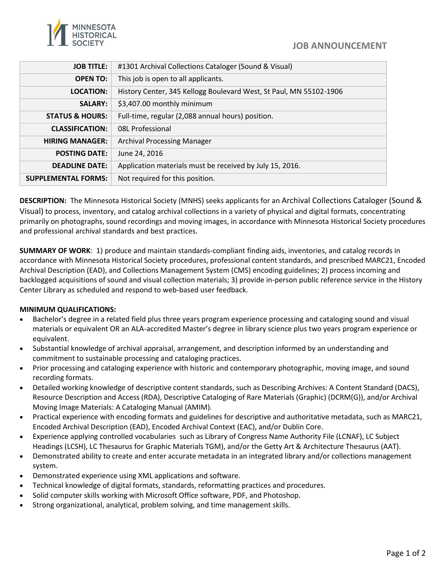

| <b>JOB TITLE:</b>          | #1301 Archival Collections Cataloger (Sound & Visual)              |  |
|----------------------------|--------------------------------------------------------------------|--|
| <b>OPEN TO:</b>            | This job is open to all applicants.                                |  |
| <b>LOCATION:</b>           | History Center, 345 Kellogg Boulevard West, St Paul, MN 55102-1906 |  |
| <b>SALARY:</b>             | \$3,407.00 monthly minimum                                         |  |
| <b>STATUS &amp; HOURS:</b> | Full-time, regular (2,088 annual hours) position.                  |  |
| <b>CLASSIFICATION:</b>     | <b>08L Professional</b>                                            |  |
| <b>HIRING MANAGER:</b>     | <b>Archival Processing Manager</b>                                 |  |
| <b>POSTING DATE:</b>       | June 24, 2016                                                      |  |
| <b>DEADLINE DATE:</b>      | Application materials must be received by July 15, 2016.           |  |
| <b>SUPPLEMENTAL FORMS:</b> | Not required for this position.                                    |  |

**DESCRIPTION:** The Minnesota Historical Society (MNHS) seeks applicants for an Archival Collections Cataloger (Sound & Visual) to process, inventory, and catalog archival collections in a variety of physical and digital formats, concentrating primarily on photographs, sound recordings and moving images, in accordance with Minnesota Historical Society procedures and professional archival standards and best practices.

**SUMMARY OF WORK**: 1) produce and maintain standards-compliant finding aids, inventories, and catalog records in accordance with Minnesota Historical Society procedures, professional content standards, and prescribed MARC21, Encoded Archival Description (EAD), and Collections Management System (CMS) encoding guidelines; 2) process incoming and backlogged acquisitions of sound and visual collection materials; 3) provide in-person public reference service in the History Center Library as scheduled and respond to web-based user feedback.

## **MINIMUM QUALIFICATIONS:**

- Bachelor's degree in a related field plus three years program experience processing and cataloging sound and visual materials or equivalent OR an ALA-accredited Master's degree in library science plus two years program experience or equivalent.
- Substantial knowledge of archival appraisal, arrangement, and description informed by an understanding and commitment to sustainable processing and cataloging practices.
- Prior processing and cataloging experience with historic and contemporary photographic, moving image, and sound recording formats.
- Detailed working knowledge of descriptive content standards, such as Describing Archives: A Content Standard (DACS), Resource Description and Access (RDA), Descriptive Cataloging of Rare Materials (Graphic) (DCRM(G)), and/or Archival Moving Image Materials: A Cataloging Manual (AMIM).
- Practical experience with encoding formats and guidelines for descriptive and authoritative metadata, such as MARC21, Encoded Archival Description (EAD), Encoded Archival Context (EAC), and/or Dublin Core.
- Experience applying controlled vocabularies such as Library of Congress Name Authority File (LCNAF), LC Subject Headings (LCSH), LC Thesaurus for Graphic Materials TGM), and/or the Getty Art & Architecture Thesaurus (AAT).
- Demonstrated ability to create and enter accurate metadata in an integrated library and/or collections management system.
- Demonstrated experience using XML applications and software.
- Technical knowledge of digital formats, standards, reformatting practices and procedures.
- Solid computer skills working with Microsoft Office software, PDF, and Photoshop.
- Strong organizational, analytical, problem solving, and time management skills.